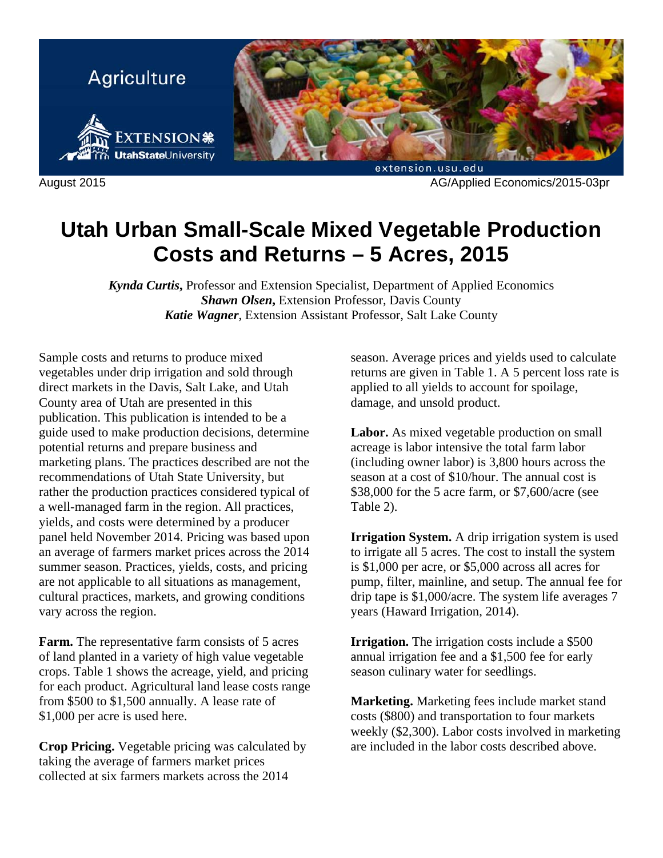

August 2015 AG/Applied Economics/2015-03pr

# **Utah Urban Small-Scale Mixed Vegetable Production Costs and Returns – 5 Acres, 2015**

*Kynda Curtis***,** Professor and Extension Specialist, Department of Applied Economics *Shawn Olsen***,** Extension Professor, Davis County *Katie Wagner*, Extension Assistant Professor, Salt Lake County

Sample costs and returns to produce mixed vegetables under drip irrigation and sold through direct markets in the Davis, Salt Lake, and Utah County area of Utah are presented in this publication. This publication is intended to be a guide used to make production decisions, determine potential returns and prepare business and marketing plans. The practices described are not the recommendations of Utah State University, but rather the production practices considered typical of a well-managed farm in the region. All practices, yields, and costs were determined by a producer panel held November 2014. Pricing was based upon an average of farmers market prices across the 2014 summer season. Practices, yields, costs, and pricing are not applicable to all situations as management, cultural practices, markets, and growing conditions vary across the region.

**Farm.** The representative farm consists of 5 acres of land planted in a variety of high value vegetable crops. Table 1 shows the acreage, yield, and pricing for each product. Agricultural land lease costs range from \$500 to \$1,500 annually. A lease rate of \$1,000 per acre is used here.

**Crop Pricing.** Vegetable pricing was calculated by taking the average of farmers market prices collected at six farmers markets across the 2014

season. Average prices and yields used to calculate returns are given in Table 1. A 5 percent loss rate is applied to all yields to account for spoilage, damage, and unsold product.

**Labor.** As mixed vegetable production on small acreage is labor intensive the total farm labor (including owner labor) is 3,800 hours across the season at a cost of \$10/hour. The annual cost is \$38,000 for the 5 acre farm, or \$7,600/acre (see Table 2).

**Irrigation System.** A drip irrigation system is used to irrigate all 5 acres. The cost to install the system is \$1,000 per acre, or \$5,000 across all acres for pump, filter, mainline, and setup. The annual fee for drip tape is \$1,000/acre. The system life averages 7 years (Haward Irrigation, 2014).

**Irrigation.** The irrigation costs include a \$500 annual irrigation fee and a \$1,500 fee for early season culinary water for seedlings.

**Marketing.** Marketing fees include market stand costs (\$800) and transportation to four markets weekly (\$2,300). Labor costs involved in marketing are included in the labor costs described above.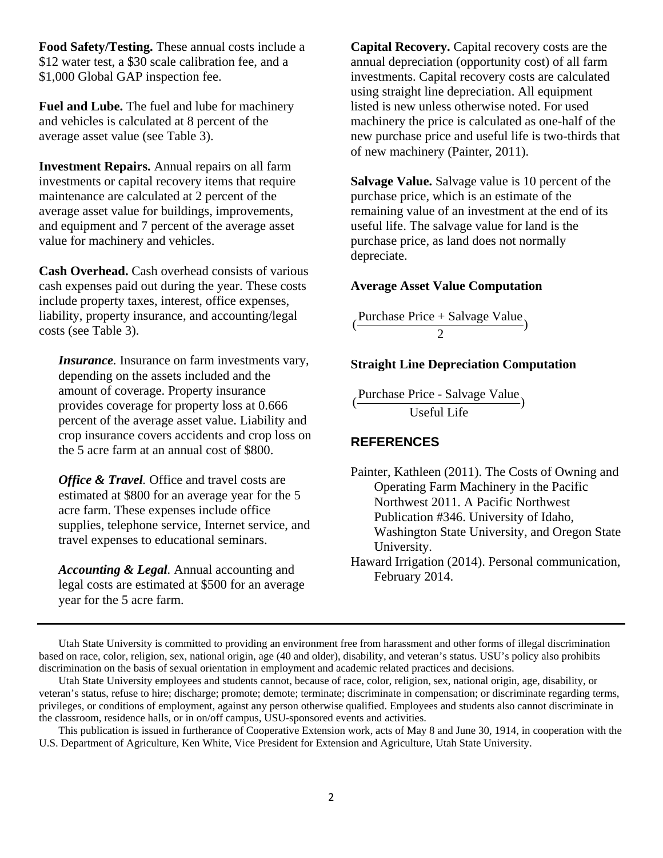**Food Safety/Testing.** These annual costs include a \$12 water test, a \$30 scale calibration fee, and a \$1,000 Global GAP inspection fee.

**Fuel and Lube.** The fuel and lube for machinery and vehicles is calculated at 8 percent of the average asset value (see Table 3).

**Investment Repairs.** Annual repairs on all farm investments or capital recovery items that require maintenance are calculated at 2 percent of the average asset value for buildings, improvements, and equipment and 7 percent of the average asset value for machinery and vehicles.

**Cash Overhead.** Cash overhead consists of various cash expenses paid out during the year. These costs include property taxes, interest, office expenses, liability, property insurance, and accounting/legal costs (see Table 3).

*Insurance.* Insurance on farm investments vary, depending on the assets included and the amount of coverage. Property insurance provides coverage for property loss at 0.666 percent of the average asset value. Liability and crop insurance covers accidents and crop loss on the 5 acre farm at an annual cost of \$800.

*Office & Travel.* Office and travel costs are estimated at \$800 for an average year for the 5 acre farm. These expenses include office supplies, telephone service, Internet service, and travel expenses to educational seminars.

*Accounting & Legal.* Annual accounting and legal costs are estimated at \$500 for an average year for the 5 acre farm.

**Capital Recovery.** Capital recovery costs are the annual depreciation (opportunity cost) of all farm investments. Capital recovery costs are calculated using straight line depreciation. All equipment listed is new unless otherwise noted. For used machinery the price is calculated as one-half of the new purchase price and useful life is two-thirds that of new machinery (Painter, 2011).

**Salvage Value.** Salvage value is 10 percent of the purchase price, which is an estimate of the remaining value of an investment at the end of its useful life. The salvage value for land is the purchase price, as land does not normally depreciate.

## **Average Asset Value Computation**

 $\frac{\text{Purchase Price} + \text{Salvage Value}}{2}$ 

### **Straight Line Depreciation Computation**

Purchase Price - Salvage Value<br>Useful Life

# **REFERENCES**

Painter, Kathleen (2011). The Costs of Owning and Operating Farm Machinery in the Pacific Northwest 2011. A Pacific Northwest Publication #346. University of Idaho, Washington State University, and Oregon State University.

Utah State University is committed to providing an environment free from harassment and other forms of illegal discrimination based on race, color, religion, sex, national origin, age (40 and older), disability, and veteran's status. USU's policy also prohibits discrimination on the basis of sexual orientation in employment and academic related practices and decisions.

Utah State University employees and students cannot, because of race, color, religion, sex, national origin, age, disability, or veteran's status, refuse to hire; discharge; promote; demote; terminate; discriminate in compensation; or discriminate regarding terms, privileges, or conditions of employment, against any person otherwise qualified. Employees and students also cannot discriminate in the classroom, residence halls, or in on/off campus, USU-sponsored events and activities.

This publication is issued in furtherance of Cooperative Extension work, acts of May 8 and June 30, 1914, in cooperation with the U.S. Department of Agriculture, Ken White, Vice President for Extension and Agriculture, Utah State University.

Haward Irrigation (2014). Personal communication, February 2014.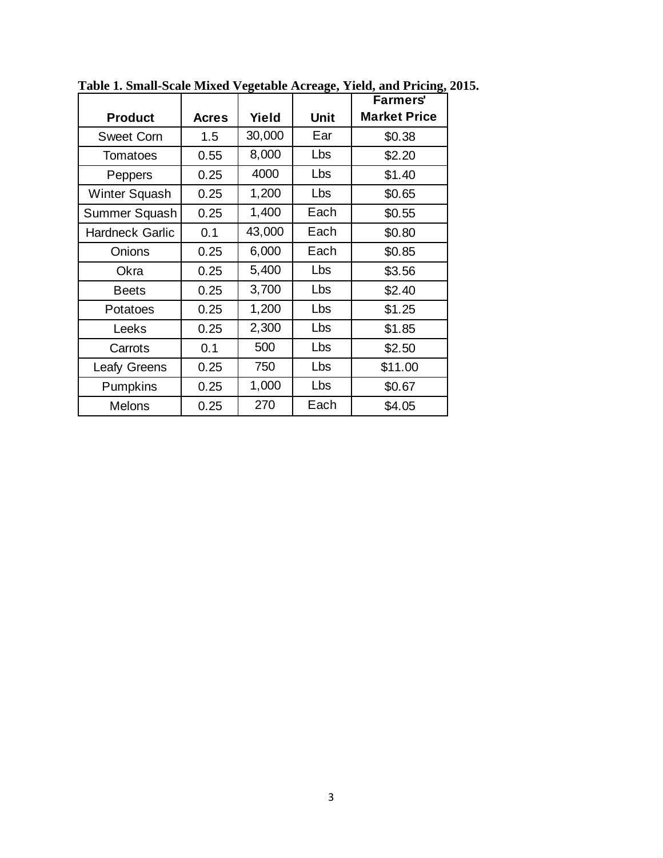|                        |       |        |            | <b>Farmers'</b>     |
|------------------------|-------|--------|------------|---------------------|
| <b>Product</b>         | Acres | Yield  | Unit       | <b>Market Price</b> |
| <b>Sweet Corn</b>      | 1.5   | 30,000 | Ear        | \$0.38              |
| Tomatoes               | 0.55  | 8,000  | Lbs        | \$2.20              |
| Peppers                | 0.25  | 4000   | Lbs        | \$1.40              |
| Winter Squash          | 0.25  | 1,200  | Lbs        | \$0.65              |
| Summer Squash          | 0.25  | 1,400  | Each       | \$0.55              |
| <b>Hardneck Garlic</b> | 0.1   | 43,000 | Each       | \$0.80              |
| Onions                 | 0.25  | 6,000  | Each       | \$0.85              |
| Okra                   | 0.25  | 5,400  | Lbs        | \$3.56              |
| <b>Beets</b>           | 0.25  | 3,700  | <b>Lbs</b> | \$2.40              |
| Potatoes               | 0.25  | 1,200  | Lbs        | \$1.25              |
| Leeks                  | 0.25  | 2,300  | Lbs        | \$1.85              |
| Carrots                | 0.1   | 500    | Lbs        | \$2.50              |
| <b>Leafy Greens</b>    | 0.25  | 750    | Lbs        | \$11.00             |
| <b>Pumpkins</b>        | 0.25  | 1,000  | Lbs        | \$0.67              |
| <b>Melons</b>          | 0.25  | 270    | Each       | \$4.05              |

**Table 1. Small-Scale Mixed Vegetable Acreage, Yield, and Pricing, 2015.**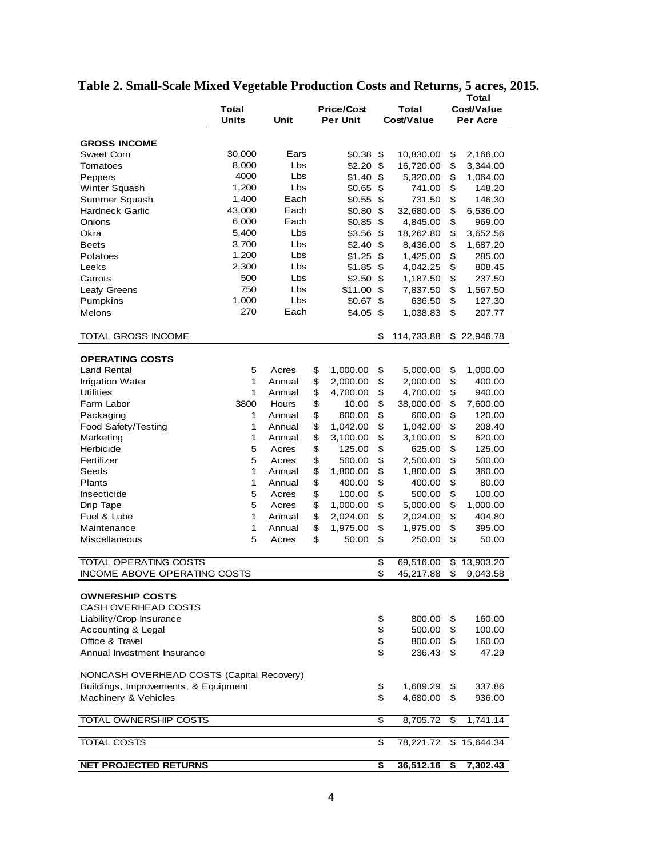|                                           |                 |                         |    |                  |          |                       | Total      |                          |  |  |
|-------------------------------------------|-----------------|-------------------------|----|------------------|----------|-----------------------|------------|--------------------------|--|--|
|                                           | Total           | <b>Price/Cost</b>       |    |                  |          | Total                 | Cost/Value |                          |  |  |
|                                           | <b>Units</b>    | Unit<br><b>Per Unit</b> |    |                  |          | Cost/Value            | Per Acre   |                          |  |  |
|                                           |                 |                         |    |                  |          |                       |            |                          |  |  |
| <b>GROSS INCOME</b>                       |                 |                         |    |                  |          |                       |            |                          |  |  |
| Sweet Corn                                | 30,000          | Ears                    |    | \$0.38           | \$       | 10,830.00             | \$         | 2,166.00                 |  |  |
| Tomatoes                                  | 8,000           | Lbs                     |    | \$2.20           | \$       | 16,720.00             | \$         | 3,344.00                 |  |  |
| Peppers                                   | 4000            | Lbs                     |    | \$1.40           | \$<br>\$ | 5,320.00              | \$         | 1,064.00                 |  |  |
| Winter Squash                             | 1,200           | Lbs                     |    | \$0.65           |          | 741.00                | \$         | 148.20                   |  |  |
| Summer Squash                             | 1,400<br>43,000 | Each                    |    | \$0.55           | \$       | 731.50                | \$         | 146.30                   |  |  |
| <b>Hardneck Garlic</b>                    |                 | Each<br>Each            |    | \$0.80           | \$       | 32,680.00             | \$         | 6,536.00                 |  |  |
| Onions<br>Okra                            | 6,000<br>5,400  | Lbs                     |    | \$0.85<br>\$3.56 | \$<br>\$ | 4,845.00              | \$<br>\$   | 969.00                   |  |  |
| <b>Beets</b>                              | 3,700           | Lbs                     |    | \$2.40           | \$       | 18,262.80<br>8,436.00 | \$         | 3,652.56                 |  |  |
| Potatoes                                  | 1,200           | Lbs                     |    | \$1.25           | \$       | 1,425.00              | \$         | 1,687.20<br>285.00       |  |  |
| Leeks                                     | 2,300           | Lbs                     |    | \$1.85           | \$       | 4,042.25              | \$         | 808.45                   |  |  |
| Carrots                                   | 500             | Lbs                     |    | \$2.50           | \$       | 1,187.50              | \$         | 237.50                   |  |  |
| Leafy Greens                              | 750             | Lbs                     |    | \$11.00          | \$       | 7,837.50              | \$         | 1,567.50                 |  |  |
| Pumpkins                                  | 1,000           | Lbs                     |    | \$0.67           | \$       | 636.50                | \$         | 127.30                   |  |  |
| Melons                                    | 270             | Each                    |    | \$4.05           | \$       |                       | \$         |                          |  |  |
|                                           |                 |                         |    |                  |          | 1,038.83              |            | 207.77                   |  |  |
| TOTAL GROSS INCOME                        |                 |                         |    |                  | \$       | 114,733.88            | \$         | 22,946.78                |  |  |
|                                           |                 |                         |    |                  |          |                       |            |                          |  |  |
| <b>OPERATING COSTS</b>                    |                 |                         |    |                  |          |                       |            |                          |  |  |
| <b>Land Rental</b>                        | 5               | Acres                   | \$ | 1,000.00         | \$       | 5,000.00              | \$         | 1,000.00                 |  |  |
| <b>Irrigation Water</b>                   | 1               | Annual                  | \$ | 2,000.00         | \$       | 2,000.00              | \$         | 400.00                   |  |  |
| <b>Utilities</b>                          | 1               | Annual                  | \$ | 4,700.00         | \$       | 4,700.00              | \$         | 940.00                   |  |  |
| Farm Labor                                | 3800            | <b>Hours</b>            | \$ | 10.00            | \$       | 38,000.00             | \$         | 7,600.00                 |  |  |
| Packaging                                 | 1               | Annual                  | \$ | 600.00           | \$       | 600.00                | \$         | 120.00                   |  |  |
| Food Safety/Testing                       | 1               | Annual                  | \$ | 1,042.00         | \$       | 1,042.00              | \$         | 208.40                   |  |  |
| Marketing                                 | 1               | Annual                  | \$ | 3,100.00         | \$       | 3,100.00              | \$         | 620.00                   |  |  |
| Herbicide                                 | 5               | Acres                   | \$ | 125.00           | \$       | 625.00                | \$         | 125.00                   |  |  |
| Fertilizer                                | 5               | \$<br>Acres             |    | 500.00           | \$       | 2,500.00              | \$         | 500.00                   |  |  |
| Seeds                                     | 1               | Annual                  | \$ | 1,800.00         | \$       | 1,800.00              | \$         | 360.00                   |  |  |
| Plants                                    | 1               | Annual                  | \$ | 400.00           | \$       | 400.00                | \$         | 80.00                    |  |  |
| Insecticide                               | 5               | Acres                   | \$ | 100.00           | \$       | 500.00                | \$         | 100.00                   |  |  |
| Drip Tape                                 | 5               | Acres                   | \$ | 1,000.00         | \$       | 5,000.00              | \$         | 1,000.00                 |  |  |
| Fuel & Lube                               | 1               | Annual                  | \$ | 2,024.00         | \$       | 2,024.00              | \$         | 404.80                   |  |  |
| Maintenance                               | 1               | \$<br>Annual            |    | 1,975.00         | \$       | 1,975.00              | \$         | 395.00                   |  |  |
| <b>Miscellaneous</b>                      | 5               | Acres                   | \$ | 50.00            | \$       | 250.00                | \$         | 50.00                    |  |  |
| <b>TOTAL OPERATING COSTS</b>              |                 |                         |    |                  | \$       | 69,516.00             | \$         | $\overline{13}$ , 903.20 |  |  |
| <b>INCOME ABOVE OPERATING COSTS</b>       |                 |                         |    |                  | \$       | 45,217.88             | \$         | 9,043.58                 |  |  |
|                                           |                 |                         |    |                  |          |                       |            |                          |  |  |
| <b>OWNERSHIP COSTS</b>                    |                 |                         |    |                  |          |                       |            |                          |  |  |
| <b>CASH OVERHEAD COSTS</b>                |                 |                         |    |                  |          |                       |            |                          |  |  |
| Liability/Crop Insurance                  |                 |                         |    |                  | \$       | 800.00                | \$         | 160.00                   |  |  |
| Accounting & Legal                        |                 |                         |    |                  | \$       | 500.00                | \$         | 100.00                   |  |  |
| Office & Travel                           |                 |                         |    |                  | \$       | 800.00                | \$         | 160.00                   |  |  |
| Annual Investment Insurance               |                 |                         |    |                  | \$       | 236.43                | \$         | 47.29                    |  |  |
| NONCASH OVERHEAD COSTS (Capital Recovery) |                 |                         |    |                  |          |                       |            |                          |  |  |
| Buildings, Improvements, & Equipment      |                 |                         |    |                  | \$       | 1,689.29              | \$         | 337.86                   |  |  |
| Machinery & Vehicles                      |                 |                         |    |                  | \$       | 4,680.00              | \$         | 936.00                   |  |  |
| TOTAL OWNERSHIP COSTS                     |                 |                         |    |                  | \$       | 8,705.72              | \$         | 1,741.14                 |  |  |
|                                           |                 |                         |    |                  |          |                       |            |                          |  |  |
| <b>TOTAL COSTS</b>                        |                 |                         |    |                  | \$       | 78,221.72             | \$         | 15,644.34                |  |  |
| <b>NET PROJECTED RETURNS</b>              |                 |                         |    |                  | \$       | 36,512.16             | \$         | 7,302.43                 |  |  |

#### **Table 2. Small-Scale Mixed Vegetable Production Costs and Returns, 5 acres, 2015.**